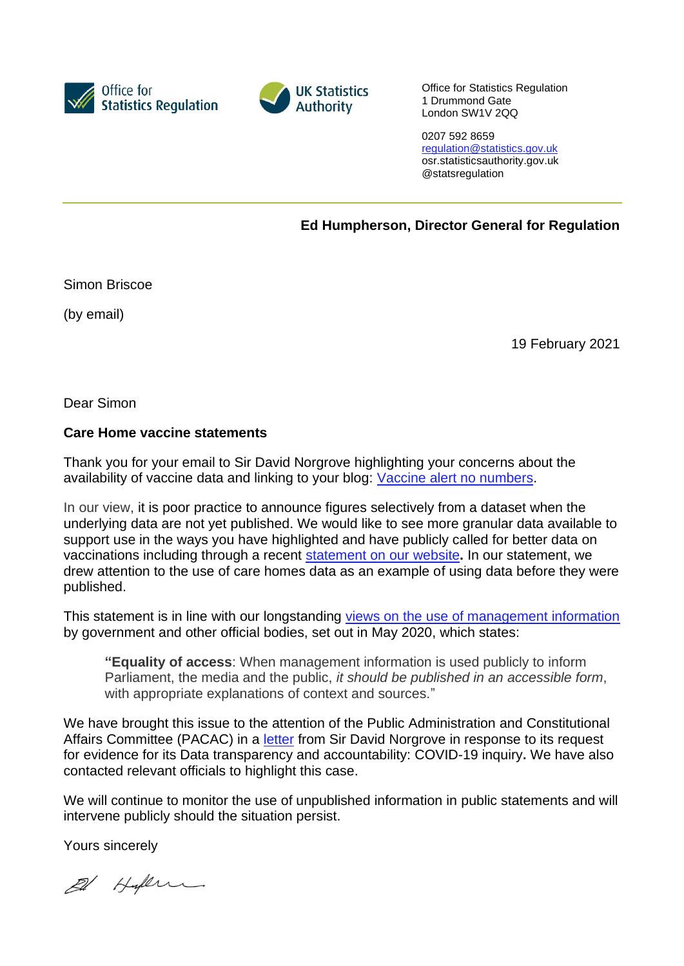



Office for Statistics Regulation 1 Drummond Gate London SW1V 2QQ

0207 592 8659 [regulation@statistics.gov.uk](mailto:E:%E2%80%82regulation@statistics.gov.uk) osr.statisticsauthority.gov.uk @statsregulation

**Ed Humpherson, Director General for Regulation**

Simon Briscoe

(by email)

19 February 2021

Dear Simon

## **Care Home vaccine statements**

Thank you for your email to Sir David Norgrove highlighting your concerns about the availability of vaccine data and linking to your blog: [Vaccine alert no numbers.](https://eur03.safelinks.protection.outlook.com/?url=https%3A%2F%2Fsimonbriscoeblog.wordpress.com%2F2021%2F02%2F08%2Fvaccine-alert-no-numbers%2F&data=04%7C01%7CDavid.Norgrove%40Statistics.gov.uk%7C7dbe26e306e74cee8a1208d8cc8185be%7C078807bfce824688bce00d811684dc46%7C0%7C0%7C637484203959738868%7CUnknown%7CTWFpbGZsb3d8eyJWIjoiMC4wLjAwMDAiLCJQIjoiV2luMzIiLCJBTiI6Ik1haWwiLCJXVCI6Mn0%3D%7C1000&sdata=mEkU%2Fr7l2y0n0mCyxJPAtt3rVsml591z6pUtlYTb8RY%3D&reserved=0#_blank)

In our view, it is poor practice to announce figures selectively from a dataset when the underlying data are not yet published. We would like to see more granular data available to support use in the ways you have highlighted and have publicly called for better data on vaccinations including through a recent [statement](https://osr.statisticsauthority.gov.uk/news/statement-osr-calls-for-further-progress-on-vaccination-data-in-response-to-pacac-enquiry/) on our website**.** In our statement, we drew attention to the use of care homes data as an example of using data before they were published.

This statement is in line with our longstanding views on the use of [management](https://osr.statisticsauthority.gov.uk/news/covid-19-production-and-use-of-management-information-by-government-and-other-official-bodies/) information by government and other official bodies, set out in May 2020, which states:

**"Equality of access**: When management information is used publicly to inform Parliament, the media and the public, *it should be published in an accessible form*, with appropriate explanations of context and sources."

We have brought this issue to the attention of the Public Administration and Constitutional Affairs Committee (PACAC) in a [letter](https://committees.parliament.uk/publications/4623/documents/46793/default/) from Sir David Norgrove in response to its request for evidence for its Data transparency and accountability: COVID-19 inquiry**.** We have also contacted relevant officials to highlight this case.

We will continue to monitor the use of unpublished information in public statements and will intervene publicly should the situation persist.

Yours sincerely

El Hylen